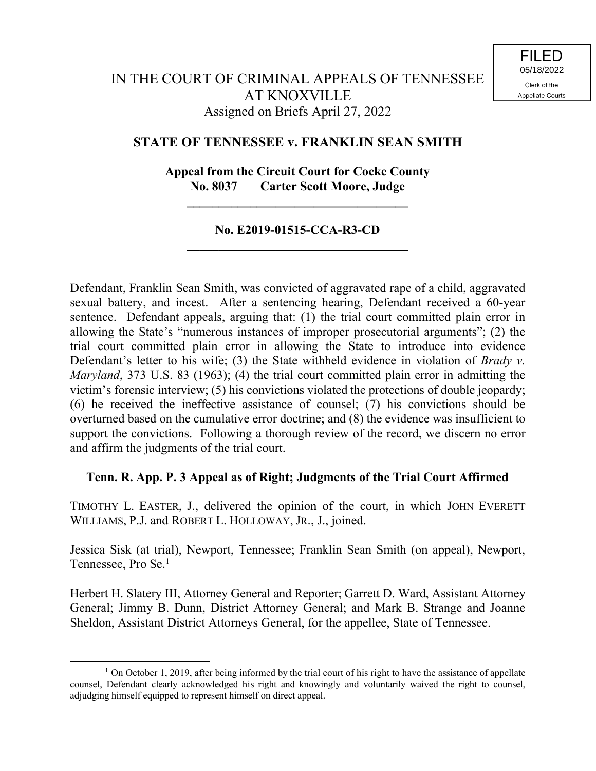## **STATE OF TENNESSEE v. FRANKLIN SEAN SMITH**

## **Appeal from the Circuit Court for Cocke County No. 8037 Carter Scott Moore, Judge**

**\_\_\_\_\_\_\_\_\_\_\_\_\_\_\_\_\_\_\_\_\_\_\_\_\_\_\_\_\_\_\_\_\_\_\_**

## **No. E2019-01515-CCA-R3-CD \_\_\_\_\_\_\_\_\_\_\_\_\_\_\_\_\_\_\_\_\_\_\_\_\_\_\_\_\_\_\_\_\_\_\_**

Defendant, Franklin Sean Smith, was convicted of aggravated rape of a child, aggravated sexual battery, and incest. After a sentencing hearing, Defendant received a 60-year sentence. Defendant appeals, arguing that: (1) the trial court committed plain error in allowing the State's "numerous instances of improper prosecutorial arguments"; (2) the trial court committed plain error in allowing the State to introduce into evidence Defendant's letter to his wife; (3) the State withheld evidence in violation of *Brady v. Maryland*, 373 U.S. 83 (1963); (4) the trial court committed plain error in admitting the victim's forensic interview; (5) his convictions violated the protections of double jeopardy; (6) he received the ineffective assistance of counsel; (7) his convictions should be overturned based on the cumulative error doctrine; and (8) the evidence was insufficient to support the convictions. Following a thorough review of the record, we discern no error and affirm the judgments of the trial court.

## **Tenn. R. App. P. 3 Appeal as of Right; Judgments of the Trial Court Affirmed**

TIMOTHY L. EASTER, J., delivered the opinion of the court, in which JOHN EVERETT WILLIAMS, P.J. and ROBERT L. HOLLOWAY, JR., J., joined.

Jessica Sisk (at trial), Newport, Tennessee; Franklin Sean Smith (on appeal), Newport, Tennessee, Pro Se. 1

Herbert H. Slatery III, Attorney General and Reporter; Garrett D. Ward, Assistant Attorney General; Jimmy B. Dunn, District Attorney General; and Mark B. Strange and Joanne Sheldon, Assistant District Attorneys General, for the appellee, State of Tennessee.

 $\overline{a}$ 

 $1$  On October 1, 2019, after being informed by the trial court of his right to have the assistance of appellate counsel, Defendant clearly acknowledged his right and knowingly and voluntarily waived the right to counsel, adjudging himself equipped to represent himself on direct appeal.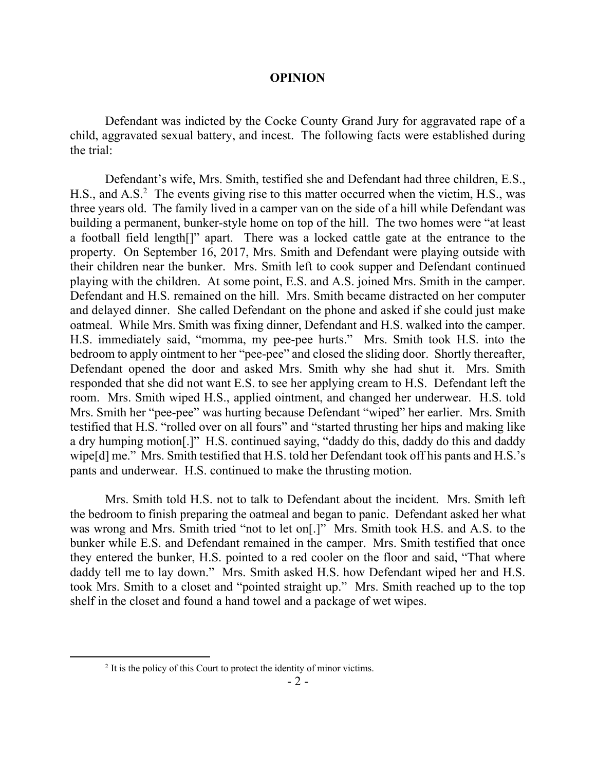#### **OPINION**

Defendant was indicted by the Cocke County Grand Jury for aggravated rape of a child, aggravated sexual battery, and incest. The following facts were established during the trial:

Defendant's wife, Mrs. Smith, testified she and Defendant had three children, E.S., H.S., and A.S.<sup>2</sup> The events giving rise to this matter occurred when the victim, H.S., was three years old. The family lived in a camper van on the side of a hill while Defendant was building a permanent, bunker-style home on top of the hill. The two homes were "at least a football field length[]" apart. There was a locked cattle gate at the entrance to the property. On September 16, 2017, Mrs. Smith and Defendant were playing outside with their children near the bunker. Mrs. Smith left to cook supper and Defendant continued playing with the children. At some point, E.S. and A.S. joined Mrs. Smith in the camper. Defendant and H.S. remained on the hill. Mrs. Smith became distracted on her computer and delayed dinner. She called Defendant on the phone and asked if she could just make oatmeal. While Mrs. Smith was fixing dinner, Defendant and H.S. walked into the camper. H.S. immediately said, "momma, my pee-pee hurts." Mrs. Smith took H.S. into the bedroom to apply ointment to her "pee-pee" and closed the sliding door. Shortly thereafter, Defendant opened the door and asked Mrs. Smith why she had shut it. Mrs. Smith responded that she did not want E.S. to see her applying cream to H.S. Defendant left the room. Mrs. Smith wiped H.S., applied ointment, and changed her underwear. H.S. told Mrs. Smith her "pee-pee" was hurting because Defendant "wiped" her earlier. Mrs. Smith testified that H.S. "rolled over on all fours" and "started thrusting her hips and making like a dry humping motion[.]" H.S. continued saying, "daddy do this, daddy do this and daddy wipe[d] me." Mrs. Smith testified that H.S. told her Defendant took off his pants and H.S.'s pants and underwear. H.S. continued to make the thrusting motion.

Mrs. Smith told H.S. not to talk to Defendant about the incident. Mrs. Smith left the bedroom to finish preparing the oatmeal and began to panic. Defendant asked her what was wrong and Mrs. Smith tried "not to let on[.]" Mrs. Smith took H.S. and A.S. to the bunker while E.S. and Defendant remained in the camper. Mrs. Smith testified that once they entered the bunker, H.S. pointed to a red cooler on the floor and said, "That where daddy tell me to lay down." Mrs. Smith asked H.S. how Defendant wiped her and H.S. took Mrs. Smith to a closet and "pointed straight up." Mrs. Smith reached up to the top shelf in the closet and found a hand towel and a package of wet wipes.

 $2<sup>2</sup>$  It is the policy of this Court to protect the identity of minor victims.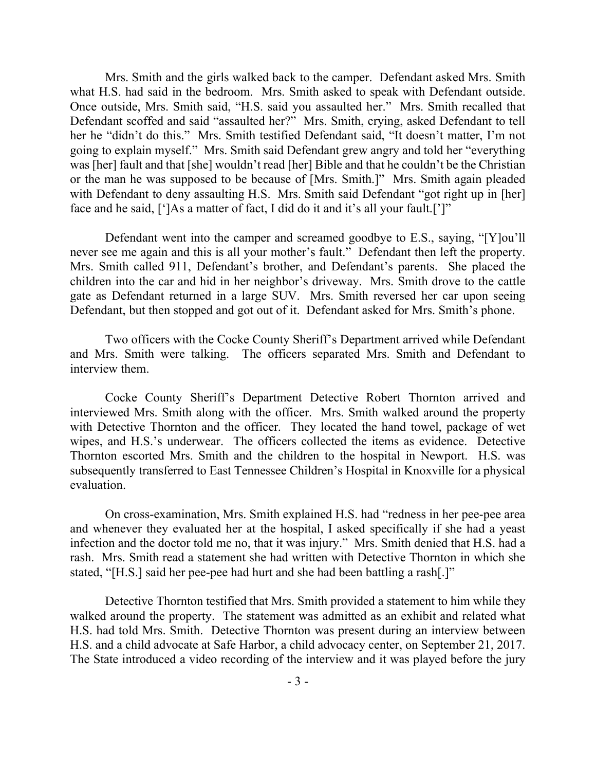Mrs. Smith and the girls walked back to the camper. Defendant asked Mrs. Smith what H.S. had said in the bedroom. Mrs. Smith asked to speak with Defendant outside. Once outside, Mrs. Smith said, "H.S. said you assaulted her." Mrs. Smith recalled that Defendant scoffed and said "assaulted her?" Mrs. Smith, crying, asked Defendant to tell her he "didn't do this." Mrs. Smith testified Defendant said, "It doesn't matter, I'm not going to explain myself." Mrs. Smith said Defendant grew angry and told her "everything was [her] fault and that [she] wouldn't read [her] Bible and that he couldn't be the Christian or the man he was supposed to be because of [Mrs. Smith.]" Mrs. Smith again pleaded with Defendant to deny assaulting H.S. Mrs. Smith said Defendant "got right up in [her] face and he said, [']As a matter of fact, I did do it and it's all your fault.[']"

Defendant went into the camper and screamed goodbye to E.S., saying, "[Y]ou'll never see me again and this is all your mother's fault." Defendant then left the property. Mrs. Smith called 911, Defendant's brother, and Defendant's parents. She placed the children into the car and hid in her neighbor's driveway. Mrs. Smith drove to the cattle gate as Defendant returned in a large SUV. Mrs. Smith reversed her car upon seeing Defendant, but then stopped and got out of it. Defendant asked for Mrs. Smith's phone.

Two officers with the Cocke County Sheriff's Department arrived while Defendant and Mrs. Smith were talking. The officers separated Mrs. Smith and Defendant to interview them.

Cocke County Sheriff's Department Detective Robert Thornton arrived and interviewed Mrs. Smith along with the officer. Mrs. Smith walked around the property with Detective Thornton and the officer. They located the hand towel, package of wet wipes, and H.S.'s underwear. The officers collected the items as evidence. Detective Thornton escorted Mrs. Smith and the children to the hospital in Newport. H.S. was subsequently transferred to East Tennessee Children's Hospital in Knoxville for a physical evaluation.

On cross-examination, Mrs. Smith explained H.S. had "redness in her pee-pee area and whenever they evaluated her at the hospital, I asked specifically if she had a yeast infection and the doctor told me no, that it was injury." Mrs. Smith denied that H.S. had a rash. Mrs. Smith read a statement she had written with Detective Thornton in which she stated, "[H.S.] said her pee-pee had hurt and she had been battling a rash[.]"

Detective Thornton testified that Mrs. Smith provided a statement to him while they walked around the property. The statement was admitted as an exhibit and related what H.S. had told Mrs. Smith. Detective Thornton was present during an interview between H.S. and a child advocate at Safe Harbor, a child advocacy center, on September 21, 2017. The State introduced a video recording of the interview and it was played before the jury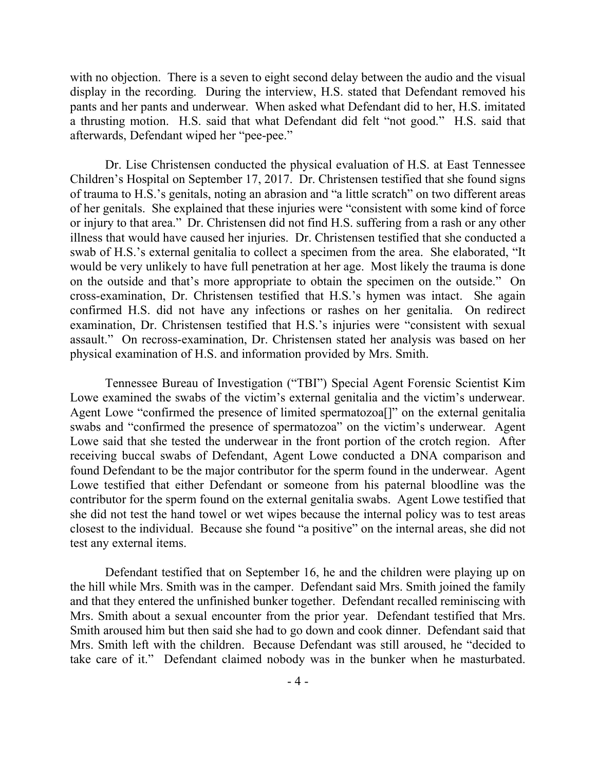with no objection. There is a seven to eight second delay between the audio and the visual display in the recording. During the interview, H.S. stated that Defendant removed his pants and her pants and underwear. When asked what Defendant did to her, H.S. imitated a thrusting motion. H.S. said that what Defendant did felt "not good." H.S. said that afterwards, Defendant wiped her "pee-pee."

Dr. Lise Christensen conducted the physical evaluation of H.S. at East Tennessee Children's Hospital on September 17, 2017. Dr. Christensen testified that she found signs of trauma to H.S.'s genitals, noting an abrasion and "a little scratch" on two different areas of her genitals. She explained that these injuries were "consistent with some kind of force or injury to that area." Dr. Christensen did not find H.S. suffering from a rash or any other illness that would have caused her injuries. Dr. Christensen testified that she conducted a swab of H.S.'s external genitalia to collect a specimen from the area. She elaborated, "It would be very unlikely to have full penetration at her age. Most likely the trauma is done on the outside and that's more appropriate to obtain the specimen on the outside." On cross-examination, Dr. Christensen testified that H.S.'s hymen was intact. She again confirmed H.S. did not have any infections or rashes on her genitalia. On redirect examination, Dr. Christensen testified that H.S.'s injuries were "consistent with sexual assault." On recross-examination, Dr. Christensen stated her analysis was based on her physical examination of H.S. and information provided by Mrs. Smith.

Tennessee Bureau of Investigation ("TBI") Special Agent Forensic Scientist Kim Lowe examined the swabs of the victim's external genitalia and the victim's underwear. Agent Lowe "confirmed the presence of limited spermatozoa[]" on the external genitalia swabs and "confirmed the presence of spermatozoa" on the victim's underwear. Agent Lowe said that she tested the underwear in the front portion of the crotch region. After receiving buccal swabs of Defendant, Agent Lowe conducted a DNA comparison and found Defendant to be the major contributor for the sperm found in the underwear. Agent Lowe testified that either Defendant or someone from his paternal bloodline was the contributor for the sperm found on the external genitalia swabs. Agent Lowe testified that she did not test the hand towel or wet wipes because the internal policy was to test areas closest to the individual. Because she found "a positive" on the internal areas, she did not test any external items.

Defendant testified that on September 16, he and the children were playing up on the hill while Mrs. Smith was in the camper. Defendant said Mrs. Smith joined the family and that they entered the unfinished bunker together. Defendant recalled reminiscing with Mrs. Smith about a sexual encounter from the prior year. Defendant testified that Mrs. Smith aroused him but then said she had to go down and cook dinner. Defendant said that Mrs. Smith left with the children. Because Defendant was still aroused, he "decided to take care of it." Defendant claimed nobody was in the bunker when he masturbated.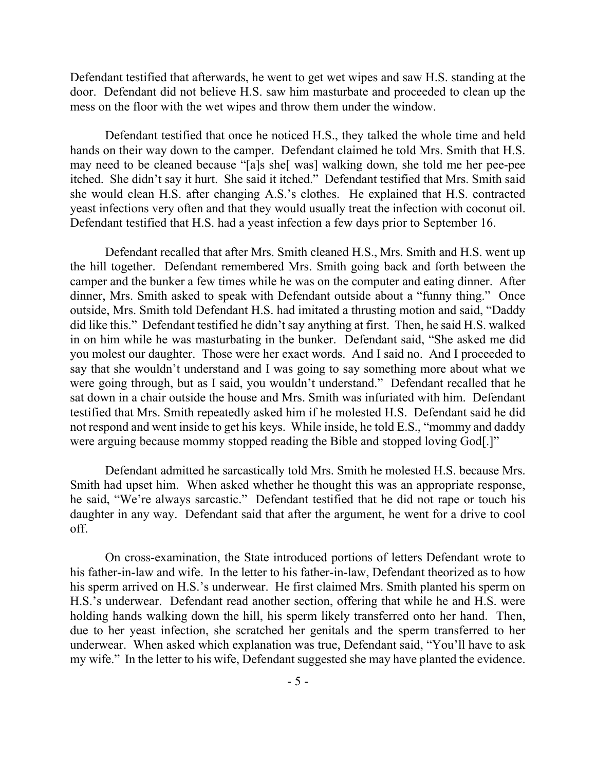Defendant testified that afterwards, he went to get wet wipes and saw H.S. standing at the door. Defendant did not believe H.S. saw him masturbate and proceeded to clean up the mess on the floor with the wet wipes and throw them under the window.

Defendant testified that once he noticed H.S., they talked the whole time and held hands on their way down to the camper. Defendant claimed he told Mrs. Smith that H.S. may need to be cleaned because "[a]s she[ was] walking down, she told me her pee-pee itched. She didn't say it hurt. She said it itched." Defendant testified that Mrs. Smith said she would clean H.S. after changing A.S.'s clothes. He explained that H.S. contracted yeast infections very often and that they would usually treat the infection with coconut oil. Defendant testified that H.S. had a yeast infection a few days prior to September 16.

Defendant recalled that after Mrs. Smith cleaned H.S., Mrs. Smith and H.S. went up the hill together. Defendant remembered Mrs. Smith going back and forth between the camper and the bunker a few times while he was on the computer and eating dinner. After dinner, Mrs. Smith asked to speak with Defendant outside about a "funny thing." Once outside, Mrs. Smith told Defendant H.S. had imitated a thrusting motion and said, "Daddy did like this." Defendant testified he didn't say anything at first. Then, he said H.S. walked in on him while he was masturbating in the bunker. Defendant said, "She asked me did you molest our daughter. Those were her exact words. And I said no. And I proceeded to say that she wouldn't understand and I was going to say something more about what we were going through, but as I said, you wouldn't understand." Defendant recalled that he sat down in a chair outside the house and Mrs. Smith was infuriated with him. Defendant testified that Mrs. Smith repeatedly asked him if he molested H.S. Defendant said he did not respond and went inside to get his keys. While inside, he told E.S., "mommy and daddy were arguing because mommy stopped reading the Bible and stopped loving God[.]"

Defendant admitted he sarcastically told Mrs. Smith he molested H.S. because Mrs. Smith had upset him. When asked whether he thought this was an appropriate response, he said, "We're always sarcastic." Defendant testified that he did not rape or touch his daughter in any way. Defendant said that after the argument, he went for a drive to cool off.

On cross-examination, the State introduced portions of letters Defendant wrote to his father-in-law and wife. In the letter to his father-in-law, Defendant theorized as to how his sperm arrived on H.S.'s underwear. He first claimed Mrs. Smith planted his sperm on H.S.'s underwear. Defendant read another section, offering that while he and H.S. were holding hands walking down the hill, his sperm likely transferred onto her hand. Then, due to her yeast infection, she scratched her genitals and the sperm transferred to her underwear. When asked which explanation was true, Defendant said, "You'll have to ask my wife." In the letter to his wife, Defendant suggested she may have planted the evidence.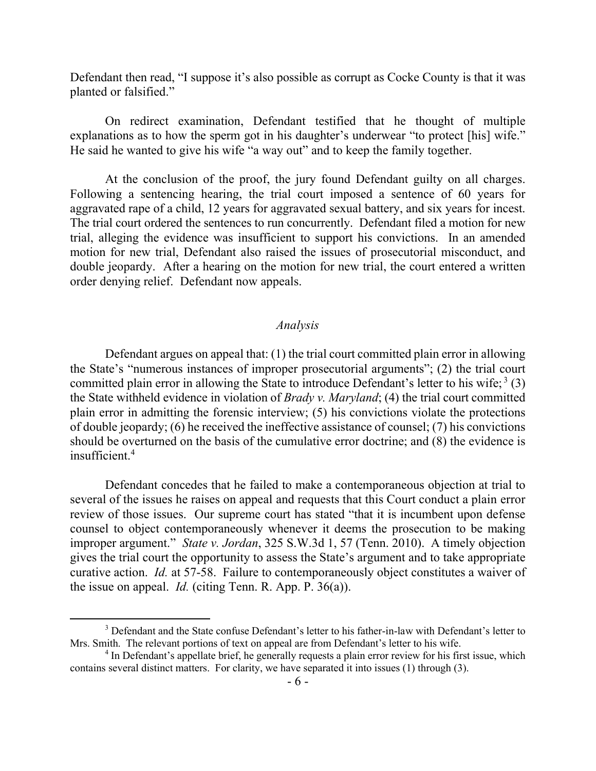Defendant then read, "I suppose it's also possible as corrupt as Cocke County is that it was planted or falsified."

On redirect examination, Defendant testified that he thought of multiple explanations as to how the sperm got in his daughter's underwear "to protect [his] wife." He said he wanted to give his wife "a way out" and to keep the family together.

At the conclusion of the proof, the jury found Defendant guilty on all charges. Following a sentencing hearing, the trial court imposed a sentence of 60 years for aggravated rape of a child, 12 years for aggravated sexual battery, and six years for incest. The trial court ordered the sentences to run concurrently. Defendant filed a motion for new trial, alleging the evidence was insufficient to support his convictions. In an amended motion for new trial, Defendant also raised the issues of prosecutorial misconduct, and double jeopardy. After a hearing on the motion for new trial, the court entered a written order denying relief. Defendant now appeals.

#### *Analysis*

Defendant argues on appeal that: (1) the trial court committed plain error in allowing the State's "numerous instances of improper prosecutorial arguments"; (2) the trial court committed plain error in allowing the State to introduce Defendant's letter to his wife;  $3(3)$ the State withheld evidence in violation of *Brady v. Maryland*; (4) the trial court committed plain error in admitting the forensic interview; (5) his convictions violate the protections of double jeopardy; (6) he received the ineffective assistance of counsel; (7) his convictions should be overturned on the basis of the cumulative error doctrine; and (8) the evidence is insufficient. 4

Defendant concedes that he failed to make a contemporaneous objection at trial to several of the issues he raises on appeal and requests that this Court conduct a plain error review of those issues. Our supreme court has stated "that it is incumbent upon defense counsel to object contemporaneously whenever it deems the prosecution to be making improper argument." *State v. Jordan*, 325 S.W.3d 1, 57 (Tenn. 2010). A timely objection gives the trial court the opportunity to assess the State's argument and to take appropriate curative action. *Id.* at 57-58. Failure to contemporaneously object constitutes a waiver of the issue on appeal. *Id.* (citing Tenn. R. App. P. 36(a)).

 $\overline{a}$ 

<sup>&</sup>lt;sup>3</sup> Defendant and the State confuse Defendant's letter to his father-in-law with Defendant's letter to Mrs. Smith. The relevant portions of text on appeal are from Defendant's letter to his wife.

<sup>&</sup>lt;sup>4</sup> In Defendant's appellate brief, he generally requests a plain error review for his first issue, which contains several distinct matters. For clarity, we have separated it into issues (1) through (3).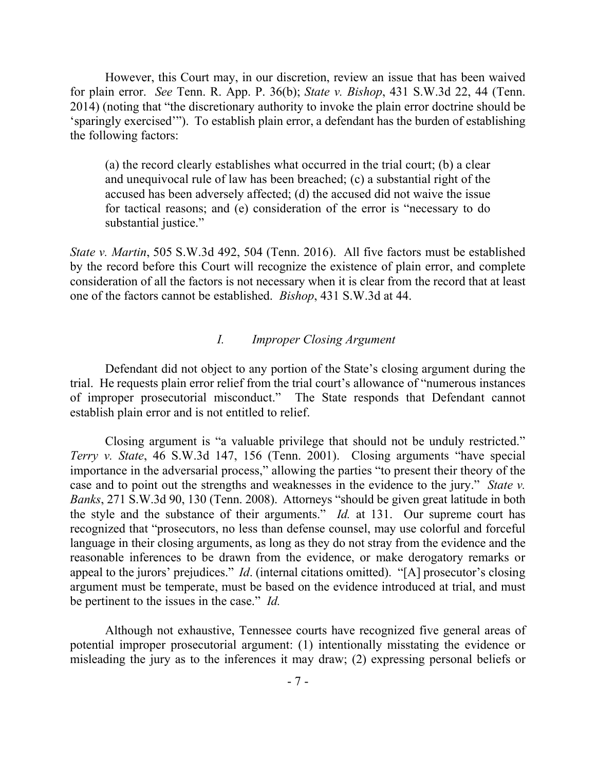However, this Court may, in our discretion, review an issue that has been waived for plain error. *See* Tenn. R. App. P. 36(b); *State v. Bishop*, 431 S.W.3d 22, 44 (Tenn. 2014) (noting that "the discretionary authority to invoke the plain error doctrine should be 'sparingly exercised'"). To establish plain error, a defendant has the burden of establishing the following factors:

(a) the record clearly establishes what occurred in the trial court; (b) a clear and unequivocal rule of law has been breached; (c) a substantial right of the accused has been adversely affected; (d) the accused did not waive the issue for tactical reasons; and (e) consideration of the error is "necessary to do substantial justice."

*State v. Martin*, 505 S.W.3d 492, 504 (Tenn. 2016). All five factors must be established by the record before this Court will recognize the existence of plain error, and complete consideration of all the factors is not necessary when it is clear from the record that at least one of the factors cannot be established. *Bishop*, 431 S.W.3d at 44.

## *I. Improper Closing Argument*

Defendant did not object to any portion of the State's closing argument during the trial. He requests plain error relief from the trial court's allowance of "numerous instances of improper prosecutorial misconduct." The State responds that Defendant cannot establish plain error and is not entitled to relief.

Closing argument is "a valuable privilege that should not be unduly restricted." *Terry v. State*, 46 S.W.3d 147, 156 (Tenn. 2001). Closing arguments "have special importance in the adversarial process," allowing the parties "to present their theory of the case and to point out the strengths and weaknesses in the evidence to the jury." *State v. Banks*, 271 S.W.3d 90, 130 (Tenn. 2008). Attorneys "should be given great latitude in both the style and the substance of their arguments." *Id.* at 131. Our supreme court has recognized that "prosecutors, no less than defense counsel, may use colorful and forceful language in their closing arguments, as long as they do not stray from the evidence and the reasonable inferences to be drawn from the evidence, or make derogatory remarks or appeal to the jurors' prejudices." *Id*. (internal citations omitted). "[A] prosecutor's closing argument must be temperate, must be based on the evidence introduced at trial, and must be pertinent to the issues in the case." *Id.*

Although not exhaustive, Tennessee courts have recognized five general areas of potential improper prosecutorial argument: (1) intentionally misstating the evidence or misleading the jury as to the inferences it may draw; (2) expressing personal beliefs or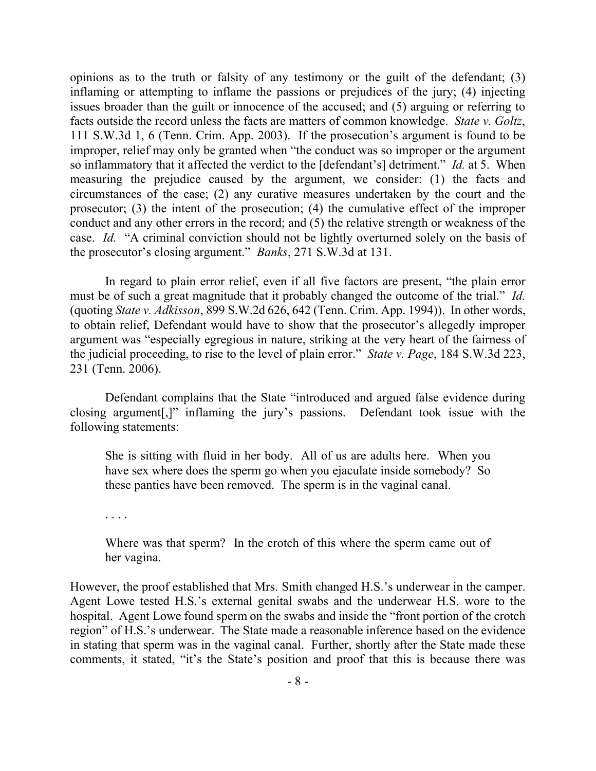opinions as to the truth or falsity of any testimony or the guilt of the defendant; (3) inflaming or attempting to inflame the passions or prejudices of the jury; (4) injecting issues broader than the guilt or innocence of the accused; and (5) arguing or referring to facts outside the record unless the facts are matters of common knowledge. *State v. Goltz*, 111 S.W.3d 1, 6 (Tenn. Crim. App. 2003). If the prosecution's argument is found to be improper, relief may only be granted when "the conduct was so improper or the argument so inflammatory that it affected the verdict to the [defendant's] detriment." *Id.* at 5. When measuring the prejudice caused by the argument, we consider: (1) the facts and circumstances of the case; (2) any curative measures undertaken by the court and the prosecutor; (3) the intent of the prosecution; (4) the cumulative effect of the improper conduct and any other errors in the record; and (5) the relative strength or weakness of the case. *Id.* "A criminal conviction should not be lightly overturned solely on the basis of the prosecutor's closing argument." *Banks*, 271 S.W.3d at 131.

In regard to plain error relief, even if all five factors are present, "the plain error must be of such a great magnitude that it probably changed the outcome of the trial." *Id.*  (quoting *State v. Adkisson*, 899 S.W.2d 626, 642 (Tenn. Crim. App. 1994)). In other words, to obtain relief, Defendant would have to show that the prosecutor's allegedly improper argument was "especially egregious in nature, striking at the very heart of the fairness of the judicial proceeding, to rise to the level of plain error." *State v. Page*, 184 S.W.3d 223, 231 (Tenn. 2006).

Defendant complains that the State "introduced and argued false evidence during closing argument[,]" inflaming the jury's passions. Defendant took issue with the following statements:

She is sitting with fluid in her body. All of us are adults here. When you have sex where does the sperm go when you ejaculate inside somebody? So these panties have been removed. The sperm is in the vaginal canal.

. . . .

Where was that sperm? In the crotch of this where the sperm came out of her vagina.

However, the proof established that Mrs. Smith changed H.S.'s underwear in the camper. Agent Lowe tested H.S.'s external genital swabs and the underwear H.S. wore to the hospital. Agent Lowe found sperm on the swabs and inside the "front portion of the crotch region" of H.S.'s underwear. The State made a reasonable inference based on the evidence in stating that sperm was in the vaginal canal. Further, shortly after the State made these comments, it stated, "it's the State's position and proof that this is because there was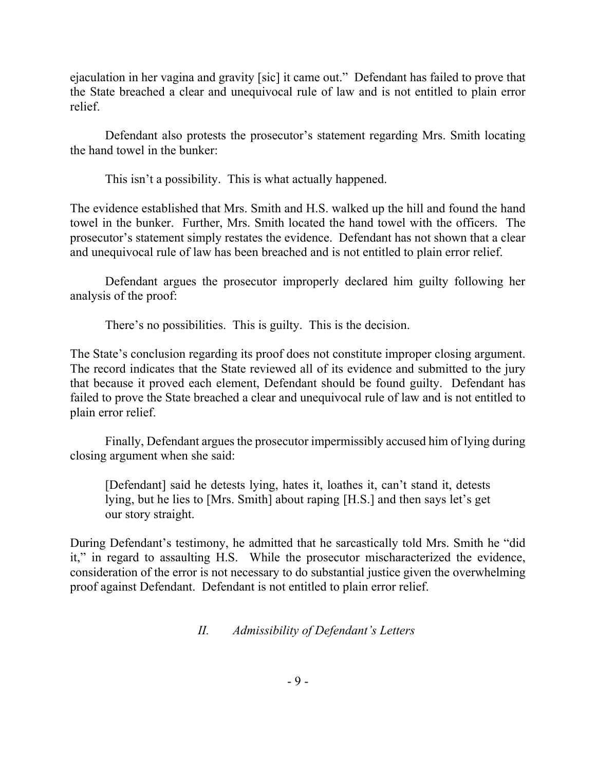ejaculation in her vagina and gravity [sic] it came out." Defendant has failed to prove that the State breached a clear and unequivocal rule of law and is not entitled to plain error relief.

Defendant also protests the prosecutor's statement regarding Mrs. Smith locating the hand towel in the bunker:

This isn't a possibility. This is what actually happened.

The evidence established that Mrs. Smith and H.S. walked up the hill and found the hand towel in the bunker. Further, Mrs. Smith located the hand towel with the officers. The prosecutor's statement simply restates the evidence. Defendant has not shown that a clear and unequivocal rule of law has been breached and is not entitled to plain error relief.

Defendant argues the prosecutor improperly declared him guilty following her analysis of the proof:

There's no possibilities. This is guilty. This is the decision.

The State's conclusion regarding its proof does not constitute improper closing argument. The record indicates that the State reviewed all of its evidence and submitted to the jury that because it proved each element, Defendant should be found guilty. Defendant has failed to prove the State breached a clear and unequivocal rule of law and is not entitled to plain error relief.

Finally, Defendant argues the prosecutor impermissibly accused him of lying during closing argument when she said:

[Defendant] said he detests lying, hates it, loathes it, can't stand it, detests lying, but he lies to [Mrs. Smith] about raping [H.S.] and then says let's get our story straight.

During Defendant's testimony, he admitted that he sarcastically told Mrs. Smith he "did it," in regard to assaulting H.S. While the prosecutor mischaracterized the evidence, consideration of the error is not necessary to do substantial justice given the overwhelming proof against Defendant. Defendant is not entitled to plain error relief.

# *II. Admissibility of Defendant's Letters*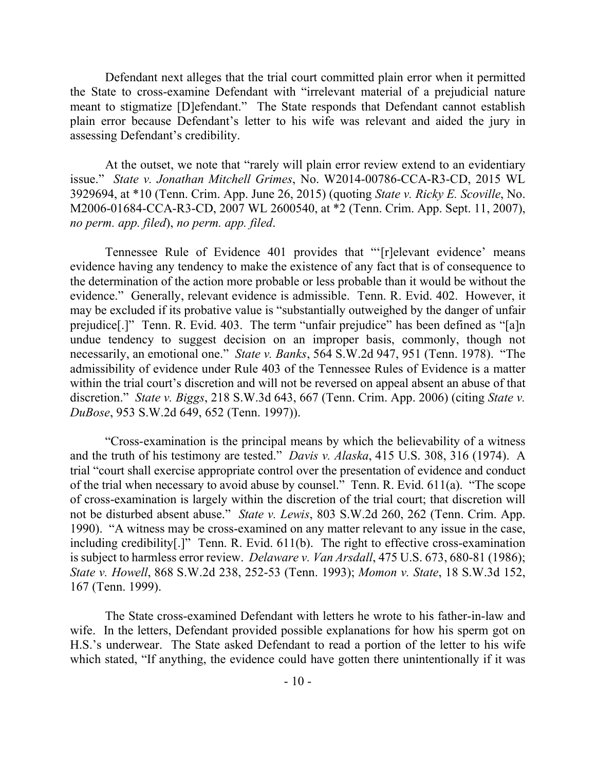Defendant next alleges that the trial court committed plain error when it permitted the State to cross-examine Defendant with "irrelevant material of a prejudicial nature meant to stigmatize [D]efendant." The State responds that Defendant cannot establish plain error because Defendant's letter to his wife was relevant and aided the jury in assessing Defendant's credibility.

At the outset, we note that "rarely will plain error review extend to an evidentiary issue." *State v. Jonathan Mitchell Grimes*, No. W2014-00786-CCA-R3-CD, 2015 WL 3929694, at \*10 (Tenn. Crim. App. June 26, 2015) (quoting *State v. Ricky E. Scoville*, No. M2006-01684-CCA-R3-CD, 2007 WL 2600540, at \*2 (Tenn. Crim. App. Sept. 11, 2007), *no perm. app. filed*), *no perm. app. filed*.

Tennessee Rule of Evidence 401 provides that "'[r]elevant evidence' means evidence having any tendency to make the existence of any fact that is of consequence to the determination of the action more probable or less probable than it would be without the evidence." Generally, relevant evidence is admissible. Tenn. R. Evid. 402. However, it may be excluded if its probative value is "substantially outweighed by the danger of unfair prejudice[.]" Tenn. R. Evid. 403. The term "unfair prejudice" has been defined as "[a]n undue tendency to suggest decision on an improper basis, commonly, though not necessarily, an emotional one." *State v. Banks*, 564 S.W.2d 947, 951 (Tenn. 1978). "The admissibility of evidence under Rule 403 of the Tennessee Rules of Evidence is a matter within the trial court's discretion and will not be reversed on appeal absent an abuse of that discretion." *State v. Biggs*, 218 S.W.3d 643, 667 (Tenn. Crim. App. 2006) (citing *State v. DuBose*, 953 S.W.2d 649, 652 (Tenn. 1997)).

"Cross-examination is the principal means by which the believability of a witness and the truth of his testimony are tested." *Davis v. Alaska*, 415 U.S. 308, 316 (1974). A trial "court shall exercise appropriate control over the presentation of evidence and conduct of the trial when necessary to avoid abuse by counsel." Tenn. R. Evid. 611(a). "The scope of cross-examination is largely within the discretion of the trial court; that discretion will not be disturbed absent abuse." *State v. Lewis*, 803 S.W.2d 260, 262 (Tenn. Crim. App. 1990). "A witness may be cross-examined on any matter relevant to any issue in the case, including credibility[.]" Tenn. R. Evid. 611(b). The right to effective cross-examination is subject to harmless error review. *Delaware v. Van Arsdall*, 475 U.S. 673, 680-81 (1986); *State v. Howell*, 868 S.W.2d 238, 252-53 (Tenn. 1993); *Momon v. State*, 18 S.W.3d 152, 167 (Tenn. 1999).

The State cross-examined Defendant with letters he wrote to his father-in-law and wife. In the letters, Defendant provided possible explanations for how his sperm got on H.S.'s underwear. The State asked Defendant to read a portion of the letter to his wife which stated, "If anything, the evidence could have gotten there unintentionally if it was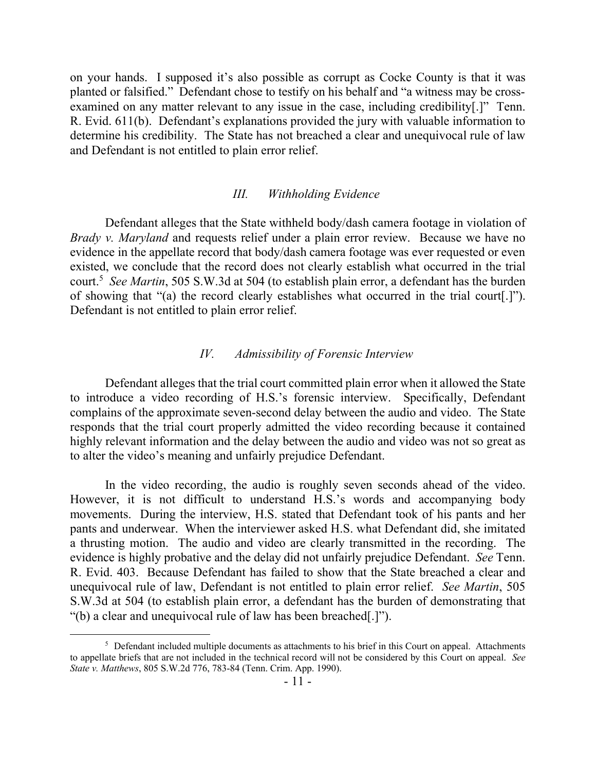on your hands. I supposed it's also possible as corrupt as Cocke County is that it was planted or falsified." Defendant chose to testify on his behalf and "a witness may be crossexamined on any matter relevant to any issue in the case, including credibility[.]" Tenn. R. Evid. 611(b). Defendant's explanations provided the jury with valuable information to determine his credibility. The State has not breached a clear and unequivocal rule of law and Defendant is not entitled to plain error relief.

#### *III. Withholding Evidence*

Defendant alleges that the State withheld body/dash camera footage in violation of *Brady v. Maryland* and requests relief under a plain error review. Because we have no evidence in the appellate record that body/dash camera footage was ever requested or even existed, we conclude that the record does not clearly establish what occurred in the trial court.<sup>5</sup> *See Martin*, 505 S.W.3d at 504 (to establish plain error, a defendant has the burden of showing that "(a) the record clearly establishes what occurred in the trial court[.]"). Defendant is not entitled to plain error relief.

### *IV. Admissibility of Forensic Interview*

Defendant alleges that the trial court committed plain error when it allowed the State to introduce a video recording of H.S.'s forensic interview. Specifically, Defendant complains of the approximate seven-second delay between the audio and video. The State responds that the trial court properly admitted the video recording because it contained highly relevant information and the delay between the audio and video was not so great as to alter the video's meaning and unfairly prejudice Defendant.

In the video recording, the audio is roughly seven seconds ahead of the video. However, it is not difficult to understand H.S.'s words and accompanying body movements. During the interview, H.S. stated that Defendant took of his pants and her pants and underwear. When the interviewer asked H.S. what Defendant did, she imitated a thrusting motion. The audio and video are clearly transmitted in the recording. The evidence is highly probative and the delay did not unfairly prejudice Defendant. *See* Tenn. R. Evid. 403. Because Defendant has failed to show that the State breached a clear and unequivocal rule of law, Defendant is not entitled to plain error relief. *See Martin*, 505 S.W.3d at 504 (to establish plain error, a defendant has the burden of demonstrating that "(b) a clear and unequivocal rule of law has been breached[.]").

 $\overline{a}$ 

 $5$  Defendant included multiple documents as attachments to his brief in this Court on appeal. Attachments to appellate briefs that are not included in the technical record will not be considered by this Court on appeal. *See State v. Matthews*, 805 S.W.2d 776, 783-84 (Tenn. Crim. App. 1990).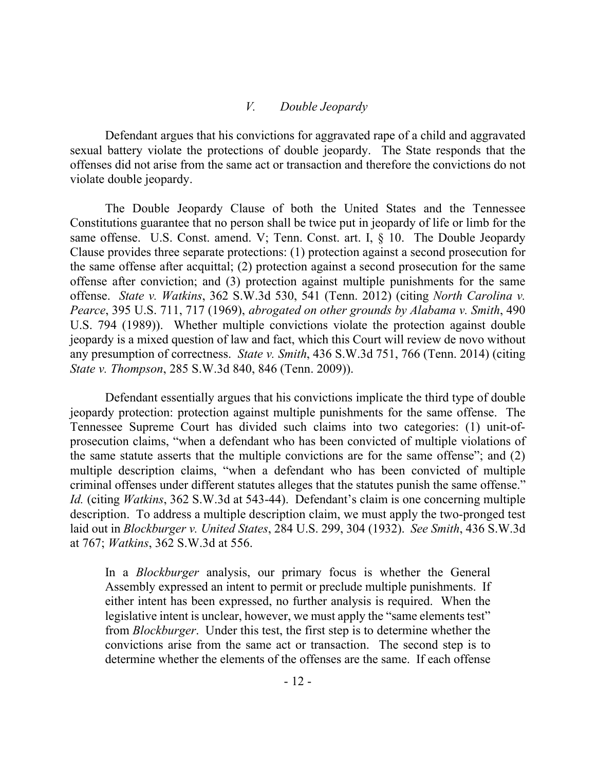#### *V. Double Jeopardy*

Defendant argues that his convictions for aggravated rape of a child and aggravated sexual battery violate the protections of double jeopardy. The State responds that the offenses did not arise from the same act or transaction and therefore the convictions do not violate double jeopardy.

The Double Jeopardy Clause of both the United States and the Tennessee Constitutions guarantee that no person shall be twice put in jeopardy of life or limb for the same offense. U.S. Const. amend. V; Tenn. Const. art. I, § 10. The Double Jeopardy Clause provides three separate protections: (1) protection against a second prosecution for the same offense after acquittal; (2) protection against a second prosecution for the same offense after conviction; and (3) protection against multiple punishments for the same offense. *State v. Watkins*, 362 S.W.3d 530, 541 (Tenn. 2012) (citing *North Carolina v. Pearce*, 395 U.S. 711, 717 (1969), *abrogated on other grounds by Alabama v. Smith*, 490 U.S. 794 (1989)). Whether multiple convictions violate the protection against double jeopardy is a mixed question of law and fact, which this Court will review de novo without any presumption of correctness. *State v. Smith*, 436 S.W.3d 751, 766 (Tenn. 2014) (citing *State v. Thompson*, 285 S.W.3d 840, 846 (Tenn. 2009)).

Defendant essentially argues that his convictions implicate the third type of double jeopardy protection: protection against multiple punishments for the same offense. The Tennessee Supreme Court has divided such claims into two categories: (1) unit-ofprosecution claims, "when a defendant who has been convicted of multiple violations of the same statute asserts that the multiple convictions are for the same offense"; and (2) multiple description claims, "when a defendant who has been convicted of multiple criminal offenses under different statutes alleges that the statutes punish the same offense." *Id.* (citing *Watkins*, 362 S.W.3d at 543-44). Defendant's claim is one concerning multiple description. To address a multiple description claim, we must apply the two-pronged test laid out in *Blockburger v. United States*, 284 U.S. 299, 304 (1932). *See Smith*, 436 S.W.3d at 767; *Watkins*, 362 S.W.3d at 556.

In a *Blockburger* analysis, our primary focus is whether the General Assembly expressed an intent to permit or preclude multiple punishments. If either intent has been expressed, no further analysis is required. When the legislative intent is unclear, however, we must apply the "same elements test" from *Blockburger*. Under this test, the first step is to determine whether the convictions arise from the same act or transaction. The second step is to determine whether the elements of the offenses are the same. If each offense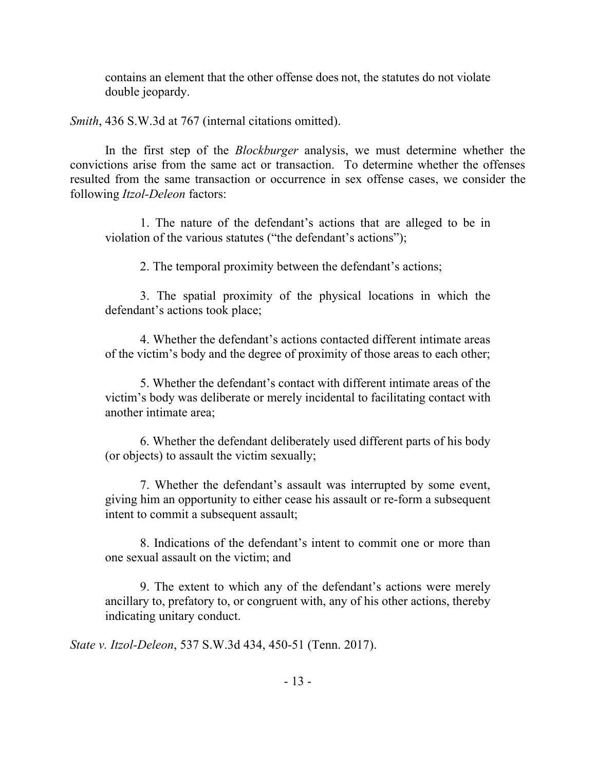contains an element that the other offense does not, the statutes do not violate double jeopardy.

*Smith*, 436 S.W.3d at 767 (internal citations omitted).

In the first step of the *Blockburger* analysis, we must determine whether the convictions arise from the same act or transaction. To determine whether the offenses resulted from the same transaction or occurrence in sex offense cases, we consider the following *Itzol-Deleon* factors:

1. The nature of the defendant's actions that are alleged to be in violation of the various statutes ("the defendant's actions");

2. The temporal proximity between the defendant's actions;

3. The spatial proximity of the physical locations in which the defendant's actions took place;

4. Whether the defendant's actions contacted different intimate areas of the victim's body and the degree of proximity of those areas to each other;

5. Whether the defendant's contact with different intimate areas of the victim's body was deliberate or merely incidental to facilitating contact with another intimate area;

6. Whether the defendant deliberately used different parts of his body (or objects) to assault the victim sexually;

7. Whether the defendant's assault was interrupted by some event, giving him an opportunity to either cease his assault or re-form a subsequent intent to commit a subsequent assault;

8. Indications of the defendant's intent to commit one or more than one sexual assault on the victim; and

9. The extent to which any of the defendant's actions were merely ancillary to, prefatory to, or congruent with, any of his other actions, thereby indicating unitary conduct.

*State v. Itzol-Deleon*, 537 S.W.3d 434, 450-51 (Tenn. 2017).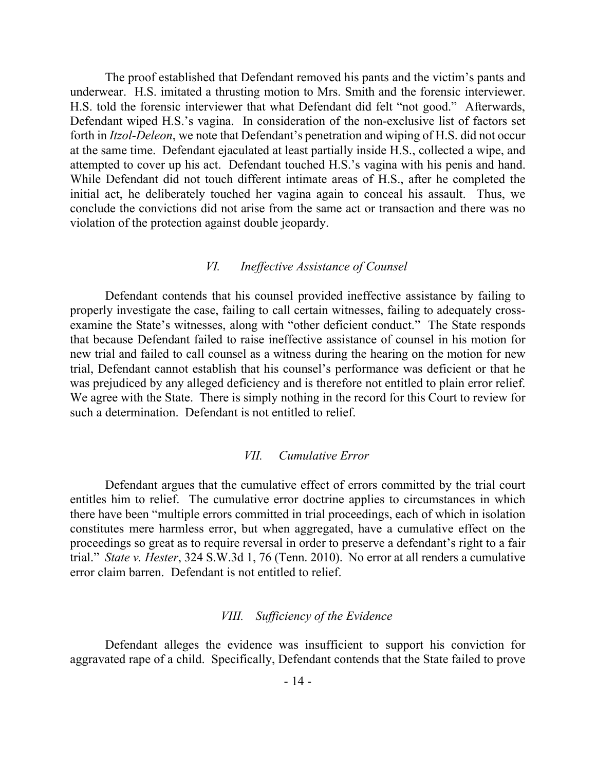The proof established that Defendant removed his pants and the victim's pants and underwear. H.S. imitated a thrusting motion to Mrs. Smith and the forensic interviewer. H.S. told the forensic interviewer that what Defendant did felt "not good." Afterwards, Defendant wiped H.S.'s vagina. In consideration of the non-exclusive list of factors set forth in *Itzol-Deleon*, we note that Defendant's penetration and wiping of H.S. did not occur at the same time. Defendant ejaculated at least partially inside H.S., collected a wipe, and attempted to cover up his act. Defendant touched H.S.'s vagina with his penis and hand. While Defendant did not touch different intimate areas of H.S., after he completed the initial act, he deliberately touched her vagina again to conceal his assault. Thus, we conclude the convictions did not arise from the same act or transaction and there was no violation of the protection against double jeopardy.

### *VI. Ineffective Assistance of Counsel*

Defendant contends that his counsel provided ineffective assistance by failing to properly investigate the case, failing to call certain witnesses, failing to adequately crossexamine the State's witnesses, along with "other deficient conduct." The State responds that because Defendant failed to raise ineffective assistance of counsel in his motion for new trial and failed to call counsel as a witness during the hearing on the motion for new trial, Defendant cannot establish that his counsel's performance was deficient or that he was prejudiced by any alleged deficiency and is therefore not entitled to plain error relief. We agree with the State. There is simply nothing in the record for this Court to review for such a determination. Defendant is not entitled to relief.

#### *VII. Cumulative Error*

Defendant argues that the cumulative effect of errors committed by the trial court entitles him to relief. The cumulative error doctrine applies to circumstances in which there have been "multiple errors committed in trial proceedings, each of which in isolation constitutes mere harmless error, but when aggregated, have a cumulative effect on the proceedings so great as to require reversal in order to preserve a defendant's right to a fair trial." *State v. Hester*, 324 S.W.3d 1, 76 (Tenn. 2010). No error at all renders a cumulative error claim barren. Defendant is not entitled to relief.

### *VIII. Sufficiency of the Evidence*

Defendant alleges the evidence was insufficient to support his conviction for aggravated rape of a child. Specifically, Defendant contends that the State failed to prove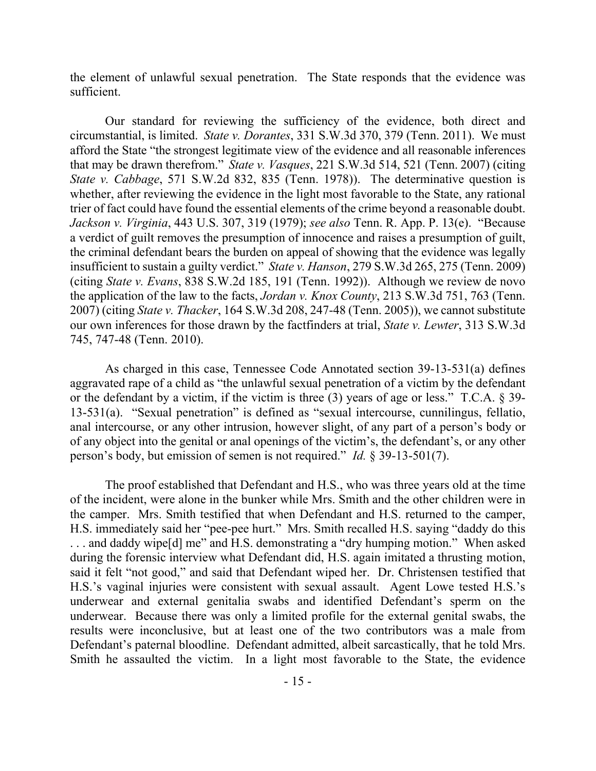the element of unlawful sexual penetration. The State responds that the evidence was sufficient.

Our standard for reviewing the sufficiency of the evidence, both direct and circumstantial, is limited. *State v. Dorantes*, 331 S.W.3d 370, 379 (Tenn. 2011). We must afford the State "the strongest legitimate view of the evidence and all reasonable inferences that may be drawn therefrom." *State v. Vasques*, 221 S.W.3d 514, 521 (Tenn. 2007) (citing *State v. Cabbage*, 571 S.W.2d 832, 835 (Tenn. 1978)). The determinative question is whether, after reviewing the evidence in the light most favorable to the State, any rational trier of fact could have found the essential elements of the crime beyond a reasonable doubt. *Jackson v. Virginia*, 443 U.S. 307, 319 (1979); *see also* Tenn. R. App. P. 13(e). "Because a verdict of guilt removes the presumption of innocence and raises a presumption of guilt, the criminal defendant bears the burden on appeal of showing that the evidence was legally insufficient to sustain a guilty verdict." *State v. Hanson*, 279 S.W.3d 265, 275 (Tenn. 2009) (citing *State v. Evans*, 838 S.W.2d 185, 191 (Tenn. 1992)). Although we review de novo the application of the law to the facts, *Jordan v. Knox County*, 213 S.W.3d 751, 763 (Tenn. 2007) (citing *State v. Thacker*, 164 S.W.3d 208, 247-48 (Tenn. 2005)), we cannot substitute our own inferences for those drawn by the factfinders at trial, *State v. Lewter*, 313 S.W.3d 745, 747-48 (Tenn. 2010).

As charged in this case, Tennessee Code Annotated section 39-13-531(a) defines aggravated rape of a child as "the unlawful sexual penetration of a victim by the defendant or the defendant by a victim, if the victim is three (3) years of age or less." T.C.A. § 39- 13-531(a). "Sexual penetration" is defined as "sexual intercourse, cunnilingus, fellatio, anal intercourse, or any other intrusion, however slight, of any part of a person's body or of any object into the genital or anal openings of the victim's, the defendant's, or any other person's body, but emission of semen is not required." *Id.* § 39-13-501(7).

The proof established that Defendant and H.S., who was three years old at the time of the incident, were alone in the bunker while Mrs. Smith and the other children were in the camper. Mrs. Smith testified that when Defendant and H.S. returned to the camper, H.S. immediately said her "pee-pee hurt." Mrs. Smith recalled H.S. saying "daddy do this . . . and daddy wipe[d] me" and H.S. demonstrating a "dry humping motion." When asked during the forensic interview what Defendant did, H.S. again imitated a thrusting motion, said it felt "not good," and said that Defendant wiped her. Dr. Christensen testified that H.S.'s vaginal injuries were consistent with sexual assault. Agent Lowe tested H.S.'s underwear and external genitalia swabs and identified Defendant's sperm on the underwear. Because there was only a limited profile for the external genital swabs, the results were inconclusive, but at least one of the two contributors was a male from Defendant's paternal bloodline. Defendant admitted, albeit sarcastically, that he told Mrs. Smith he assaulted the victim. In a light most favorable to the State, the evidence